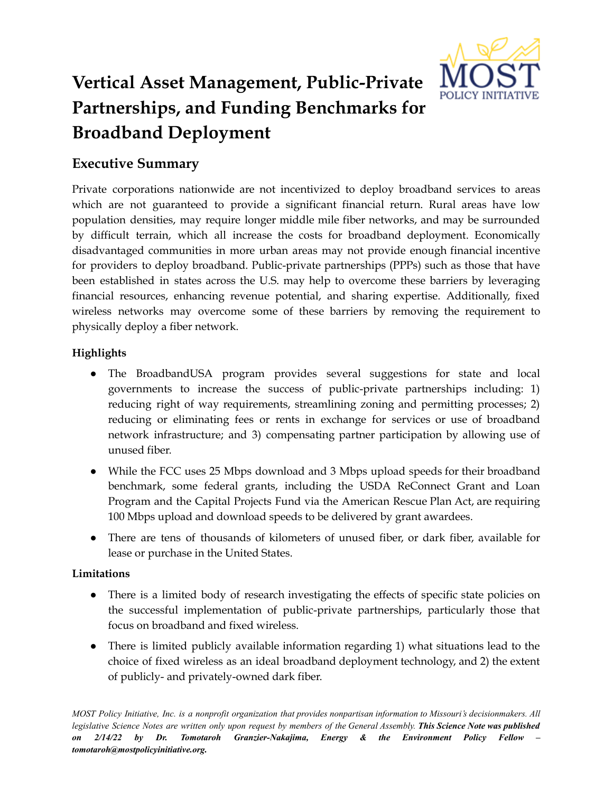

# **Vertical Asset Management, Public-Private Partnerships, and Funding Benchmarks for Broadband Deployment**

# **Executive Summary**

Private corporations nationwide are not incentivized to deploy broadband services to areas which are not guaranteed to provide a significant financial return. Rural areas have low population densities, may require longer middle mile fiber networks, and may be surrounded by difficult terrain, which all increase the costs for broadband deployment. Economically disadvantaged communities in more urban areas may not provide enough financial incentive for providers to deploy broadband. Public-private partnerships (PPPs) such as those that have been established in states across the U.S. may help to overcome these barriers by leveraging financial resources, enhancing revenue potential, and sharing expertise. Additionally, fixed wireless networks may overcome some of these barriers by removing the requirement to physically deploy a fiber network.

# **Highlights**

- The BroadbandUSA program provides several suggestions for state and local governments to increase the success of public-private partnerships including: 1) reducing right of way requirements, streamlining zoning and permitting processes; 2) reducing or eliminating fees or rents in exchange for services or use of broadband network infrastructure; and 3) compensating partner participation by allowing use of unused fiber.
- While the FCC uses 25 Mbps download and 3 Mbps upload speeds for their broadband benchmark, some federal grants, including the USDA ReConnect Grant and Loan Program and the Capital Projects Fund via the American Rescue Plan Act, are requiring 100 Mbps upload and download speeds to be delivered by grant awardees.
- There are tens of thousands of kilometers of unused fiber, or dark fiber, available for lease or purchase in the United States.

# **Limitations**

- There is a limited body of research investigating the effects of specific state policies on the successful implementation of public-private partnerships, particularly those that focus on broadband and fixed wireless.
- There is limited publicly available information regarding 1) what situations lead to the choice of fixed wireless as an ideal broadband deployment technology, and 2) the extent of publicly- and privately-owned dark fiber.

MOST Policy Initiative, Inc. is a nonprofit organization that provides nonpartisan information to Missouri's decisionmakers. All legislative Science Notes are written only upon request by members of the General Assembly. This Science Note was published *on 2/14/22 by Dr. Tomotaroh Granzier-Nakajima, Energy & the Environment Policy Fellow – tomotaroh@mostpolicyinitiative.org.*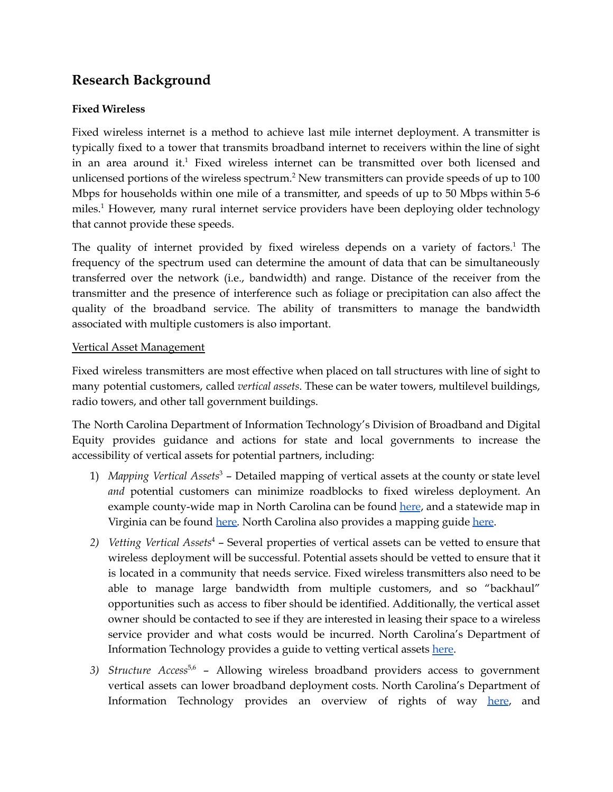# **Research Background**

### **Fixed Wireless**

Fixed wireless internet is a method to achieve last mile internet deployment. A transmitter is typically fixed to a tower that transmits broadband internet to receivers within the line of sight in an area around it. <sup>1</sup> Fixed wireless internet can be transmitted over both licensed and unlicensed portions of the wireless spectrum.<sup>2</sup> New transmitters can provide speeds of up to  $100$ Mbps for households within one mile of a transmitter, and speeds of up to 50 Mbps within 5-6 miles. <sup>1</sup> However, many rural internet service providers have been deploying older technology that cannot provide these speeds.

The quality of internet provided by fixed wireless depends on a variety of factors.<sup>1</sup> The frequency of the spectrum used can determine the amount of data that can be simultaneously transferred over the network (i.e., bandwidth) and range. Distance of the receiver from the transmitter and the presence of interference such as foliage or precipitation can also affect the quality of the broadband service. The ability of transmitters to manage the bandwidth associated with multiple customers is also important.

#### Vertical Asset Management

Fixed wireless transmitters are most effective when placed on tall structures with line of sight to many potential customers, called *vertical assets*. These can be water towers, multilevel buildings, radio towers, and other tall government buildings.

The North Carolina Department of Information Technology's Division of Broadband and Digital Equity provides guidance and actions for state and local governments to increase the accessibility of vertical assets for potential partners, including:

- 1) *Mapping Vertical Assets* <sup>3</sup> Detailed mapping of vertical assets at the county or state level *and* potential customers can minimize roadblocks to fixed wireless deployment. An example county-wide map in North Carolina can be found [here](https://www.ncbroadband.gov/media/22/download?attachment), and a statewide map in Virginia can be found [here.](https://broadband.cgit.vt.edu/VerticalAssets/) North Carolina also provides a mapping guide [here](https://www.ncbroadband.gov/technical-assistance/playbook/assets-needs/mapping-your-assets).
- *2) Vetting Vertical Assets* <sup>4</sup> Several properties of vertical assets can be vetted to ensure that wireless deployment will be successful. Potential assets should be vetted to ensure that it is located in a community that needs service. Fixed wireless transmitters also need to be able to manage large bandwidth from multiple customers, and so "backhaul" opportunities such as access to fiber should be identified. Additionally, the vertical asset owner should be contacted to see if they are interested in leasing their space to a wireless service provider and what costs would be incurred. North Carolina's Department of Information Technology provides a guide to vetting vertical assets [here](https://www.ncbroadband.gov/technical-assistance/playbook/assets-needs/vetting-vertical-assets).
- *3) Structure Access* 5,6 Allowing wireless broadband providers access to government vertical assets can lower broadband deployment costs. North Carolina's Department of Information Technology provides an overview of rights of way [here](https://www.ncbroadband.gov/technical-assistance/playbook/policy-broadband/rights-way), and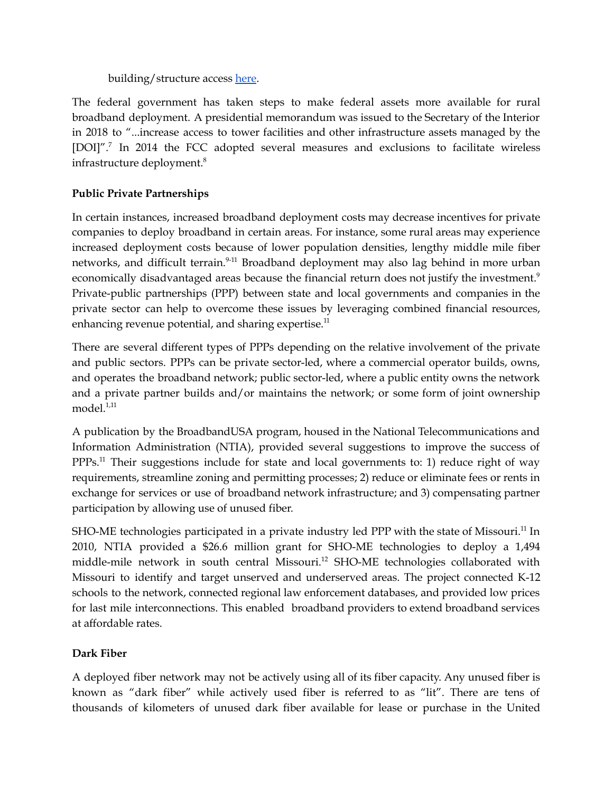building/structure access [here](https://www.ncbroadband.gov/technical-assistance/playbook/policy-broadband/building-structure).

The federal government has taken steps to make federal assets more available for rural broadband deployment. A presidential memorandum was issued to the Secretary of the Interior in 2018 to "...increase access to tower facilities and other infrastructure assets managed by the [DOI]".<sup>7</sup> In 2014 the FCC adopted several measures and exclusions to facilitate wireless infrastructure deployment. 8

# **Public Private Partnerships**

In certain instances, increased broadband deployment costs may decrease incentives for private companies to deploy broadband in certain areas. For instance, some rural areas may experience increased deployment costs because of lower population densities, lengthy middle mile fiber networks, and difficult terrain.<sup>9-11</sup> Broadband deployment may also lag behind in more urban economically disadvantaged areas because the financial return does not justify the investment.<sup>9</sup> Private-public partnerships (PPP) between state and local governments and companies in the private sector can help to overcome these issues by leveraging combined financial resources, enhancing revenue potential, and sharing expertise.<sup>11</sup>

There are several different types of PPPs depending on the relative involvement of the private and public sectors. PPPs can be private sector-led, where a commercial operator builds, owns, and operates the broadband network; public sector-led, where a public entity owns the network and a private partner builds and/or maintains the network; or some form of joint ownership model. 1,11

A publication by the BroadbandUSA program, housed in the National Telecommunications and Information Administration (NTIA), provided several suggestions to improve the success of PPPs.<sup>11</sup> Their suggestions include for state and local governments to: 1) reduce right of way requirements, streamline zoning and permitting processes; 2) reduce or eliminate fees or rents in exchange for services or use of broadband network infrastructure; and 3) compensating partner participation by allowing use of unused fiber.

SHO-ME technologies participated in a private industry led PPP with the state of Missouri.<sup>11</sup> In 2010, NTIA provided a \$26.6 million grant for SHO-ME technologies to deploy a 1,494 middle-mile network in south central Missouri. <sup>12</sup> SHO-ME technologies collaborated with Missouri to identify and target unserved and underserved areas. The project connected K-12 schools to the network, connected regional law enforcement databases, and provided low prices for last mile interconnections. This enabled broadband providers to extend broadband services at affordable rates.

# **Dark Fiber**

A deployed fiber network may not be actively using all of its fiber capacity. Any unused fiber is known as "dark fiber" while actively used fiber is referred to as "lit". There are tens of thousands of kilometers of unused dark fiber available for lease or purchase in the United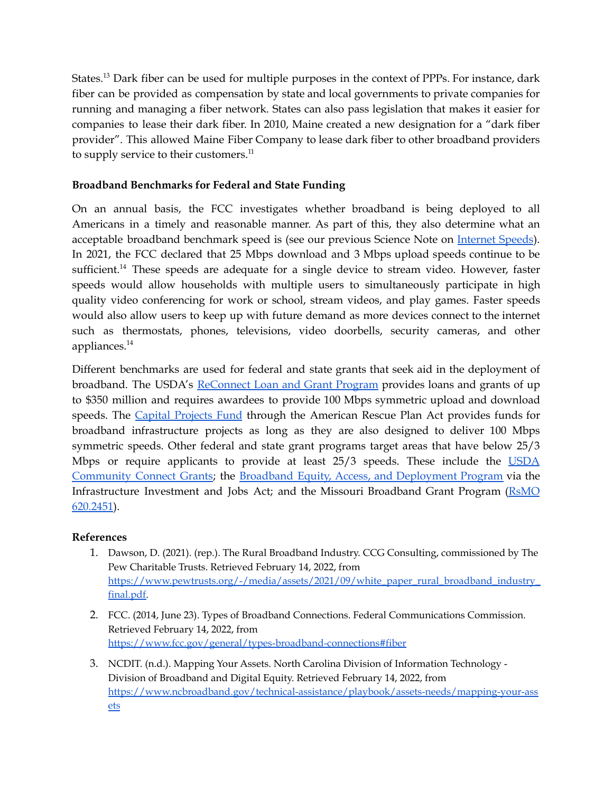States.<sup>13</sup> Dark fiber can be used for multiple purposes in the context of PPPs. For instance, dark fiber can be provided as compensation by state and local governments to private companies for running and managing a fiber network. States can also pass legislation that makes it easier for companies to lease their dark fiber. In 2010, Maine created a new designation for a "dark fiber provider". This allowed Maine Fiber Company to lease dark fiber to other broadband providers to supply service to their customers.<sup>11</sup>

# **Broadband Benchmarks for Federal and State Funding**

On an annual basis, the FCC investigates whether broadband is being deployed to all Americans in a timely and reasonable manner. As part of this, they also determine what an acceptable broadband benchmark speed is (see our previous Science Note on [Internet](https://mostpolicyinitiative.org/science-note/internet-speed/) Speeds). In 2021, the FCC declared that 25 Mbps download and 3 Mbps upload speeds continue to be sufficient.<sup>14</sup> These speeds are adequate for a single device to stream video. However, faster speeds would allow households with multiple users to simultaneously participate in high quality video conferencing for work or school, stream videos, and play games. Faster speeds would also allow users to keep up with future demand as more devices connect to the internet such as thermostats, phones, televisions, video doorbells, security cameras, and other appliances. 14

Different benchmarks are used for federal and state grants that seek aid in the deployment of broadband. The USDA's [ReConnect](https://www.usda.gov/reconnect) Loan and Grant Program provides loans and grants of up to \$350 million and requires awardees to provide 100 Mbps symmetric upload and download speeds. The Capital [Projects](https://home.treasury.gov/system/files/136/Capital-Projects-Fund-Guidance-States-Territories-and-Freely-Associated-States.pdf) Fund through the American Rescue Plan Act provides funds for broadband infrastructure projects as long as they are also designed to deliver 100 Mbps symmetric speeds. Other federal and state grant programs target areas that have below 25/3 Mbps or require applicants to provide at least 25/3 speeds. These include the [USDA](https://www.rd.usda.gov/newsroom/news-release/usda-offers-community-connect-broadband-funding-applications-due-dec-23) [Community](https://www.rd.usda.gov/newsroom/news-release/usda-offers-community-connect-broadband-funding-applications-due-dec-23) Connect Grants; the Broadband Equity, Access, and [Deployment](https://broadbandusa.ntia.doc.gov/resources/grant-programs) Program via the Infrastructure Investment and Jobs Act; and the Missouri Broadband Grant Program [\(RsMO](https://revisor.mo.gov/main/OneSection.aspx?section=620.2451&bid=48359) [620.2451](https://revisor.mo.gov/main/OneSection.aspx?section=620.2451&bid=48359)).

# **References**

- 1. Dawson, D. (2021). (rep.). The Rural Broadband Industry. CCG Consulting, commissioned by The Pew Charitable Trusts. Retrieved February 14, 2022, from [https://www.pewtrusts.org/-/media/assets/2021/09/white\\_paper\\_rural\\_broadband\\_industry\\_](https://www.pewtrusts.org/-/media/assets/2021/09/white_paper_rural_broadband_industry_final.pdf) [final.pdf.](https://www.pewtrusts.org/-/media/assets/2021/09/white_paper_rural_broadband_industry_final.pdf)
- 2. FCC. (2014, June 23). Types of Broadband Connections. Federal Communications Commission. Retrieved February 14, 2022, from <https://www.fcc.gov/general/types-broadband-connections#fiber>
- 3. NCDIT. (n.d.). Mapping Your Assets. North Carolina Division of Information Technology Division of Broadband and Digital Equity. Retrieved February 14, 2022, from [https://www.ncbroadband.gov/technical-assistance/playbook/assets-needs/mapping-your-ass](https://www.ncbroadband.gov/technical-assistance/playbook/assets-needs/mapping-your-assets) [ets](https://www.ncbroadband.gov/technical-assistance/playbook/assets-needs/mapping-your-assets)